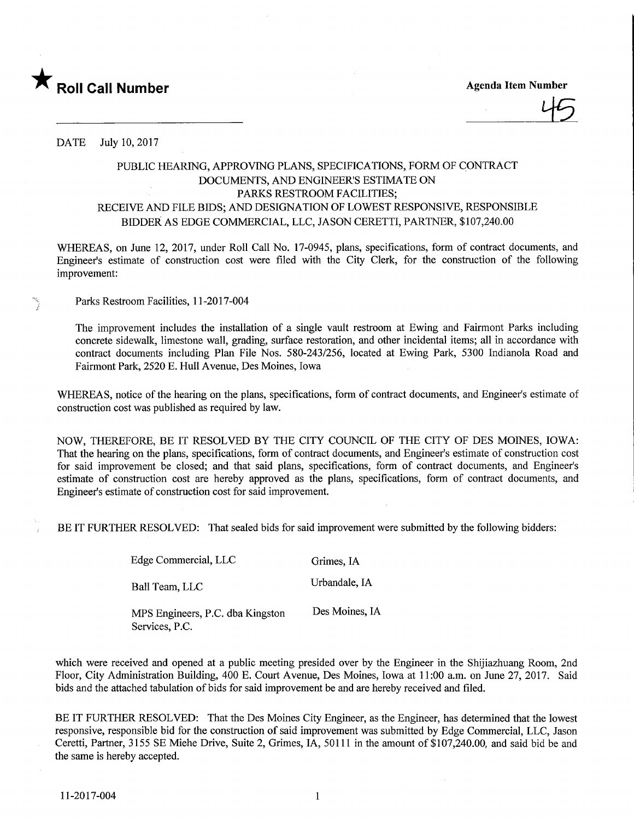

**Agenda Item Number** 

DATE July 10, 2017

## PUBLIC HEARING, APPROVING PLANS, SPECIFICATIONS, FORM OF CONTRACT DOCUMENTS, AND ENGINEER'S ESTIMATE ON PARKS RESTROOM FACILITIES; RECEIVE AND FILE BIDS; AND DESIGNATION OF LOWEST RESPONSIVE, RESPONSIBLE BIDDER AS EDGE COMMERCIAL, LLC, JASON CERETTI, PARTNER, \$107,240.00

WHEREAS, on June 12, 2017, under Roll Call No. 17-0945, plans, specifications, form of contract documents, and Engineer's estimate of construction cost were filed with the City Clerk, for the construction of the following improvement:

Parks Restroom Facilities, 11-2017-004

The improvement includes the installation of a single vault restroom at Ewing and Fairmont Parks including concrete sidewalk, limestone wall, grading, surface restoration, and other incidental items; all m accordance with contract documents including Plan File Nos. 580-243/256, located at Ewing Park, 5300 Indianola Road and Fairmont Park, 2520 E. Hull Avenue, Des Moines, Iowa

WHEREAS, notice of the hearing on the plans, specifications, form of contract documents, and Engineer's estimate of construction cost was published as required by law.

NOW, THEREFORE, BE IT RESOLVED BY THE CITY COUNCIL OF THE CITY OF DES MOINES, IOWA: That the hearing on the plans, specifications, form of contract documents, and Engineer's estimate of construction cost for said improvement be closed; and that said plans, specifications, form of contract documents, and Engineer's estimate of construction cost are hereby approved as the plans, specifications, form of contract documents, and Engineer's estimate of construction cost for said improvement.

BE IT FURTHER RESOLVED: That sealed bids for said improvement were submitted by the following bidders:

| Edge Commercial, LLC                               | Grimes, IA     |
|----------------------------------------------------|----------------|
| Ball Team, LLC                                     | Urbandale, IA  |
| MPS Engineers, P.C. dba Kingston<br>Services, P.C. | Des Moines, IA |

which were received and opened at a public meeting presided over by the Engineer in the Shijiazhuang Room, 2nd Floor, City Administration Building, 400 E. Court Avenue, Des Moines, Iowa at 11:00 a.m. on June 27, 2017. Said bids and the attached tabulation of bids for said improvement be and are hereby received and filed.

BE IT FURTHER RESOLVED: That the Des Moines City Engineer, as the Engineer, has determined that the lowest responsive, responsible bid for the construction of said improvement was submitted by Edge Commercial, LLC, Jason Ceretti, Partner, 3155 SE Miehe Drive, Suite 2, Grimes, IA, 50111 in the amount of \$107,240.00, and said bid be and the same is hereby accepted.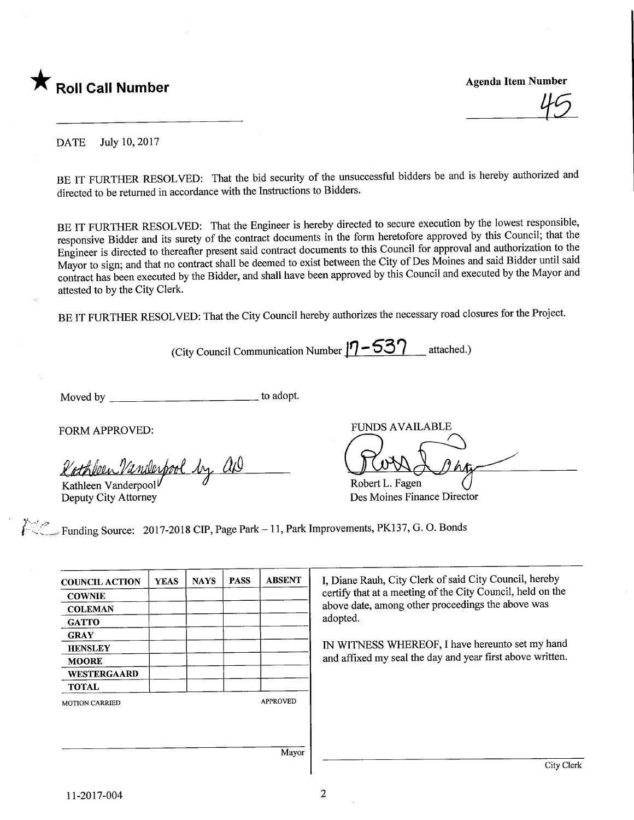

mper<br>|<del>1</del>5

DATE July 10, 2017

BE IT FURTHER RESOLVED: That the bid security of the unsuccessful bidders be and is hereby authorized and directed to be returned in accordance with the Instructions to Bidders.

BE IT FURTHER RESOLVED: That the Engineer is hereby directed to secure execution by the lowest responsible, responsive Bidder and its surety of the contract documents in the form heretofore approved by this Council; that the Engineer is directed to thereafter present said contract documents to this Council for approval and authorization to the Mayor to sign; and that no contract shall be deemed to exist between the City of Des Moines and said Bidder until said contract has been executed by the Bidder, and shall have been approved by this Council and executed by the Mayor and attested to by the City Clerk.

BE IT FURTHER RESOLVED: That the City Council hereby authorizes the necessary road closures for the Project.

(City Council Communication Number  $| \eta - 53 \gamma \qquad \text{attached.}$ )

Moved by to adopt.

FORM APPROVED:

<u>Cathbeen Vanil</u> Cathleen Vanderpool by and Communication Communication

Deputy City Attorney

FUNDS AVAILABLE Robert L. Fagen

Des Moines Finance Director

Funding Source: 2017-2018 CIP, Page Park - 11, Park Improvements, PK137, G. O. Bonds

| <b>COUNCIL ACTION</b> | <b>YEAS</b> | <b>NAYS</b> | <b>PASS</b> | <b>ABSENT</b>   |
|-----------------------|-------------|-------------|-------------|-----------------|
| <b>COWNIE</b>         |             |             |             |                 |
| <b>COLEMAN</b>        |             |             |             |                 |
| <b>GATTO</b>          |             |             |             |                 |
| <b>GRAY</b>           |             |             |             |                 |
| <b>HENSLEY</b>        |             |             |             |                 |
| <b>MOORE</b>          |             |             |             |                 |
| <b>WESTERGAARD</b>    |             |             |             |                 |
| <b>TOTAL</b>          |             |             |             |                 |
| <b>MOTION CARRIED</b> |             |             |             | <b>APPROVED</b> |
|                       |             |             |             |                 |
|                       |             |             |             |                 |
|                       |             |             |             |                 |
|                       |             |             |             | Mayor           |

I, Diane Rauh, City Clerk of said City Council, hereby certify that at a meeting of the City Council, here on the above date, among other proceedings the above was adopted.

IN WITNESS WHEREOF, I have hereunto set my hand and affixed my seal the day and year first above written.